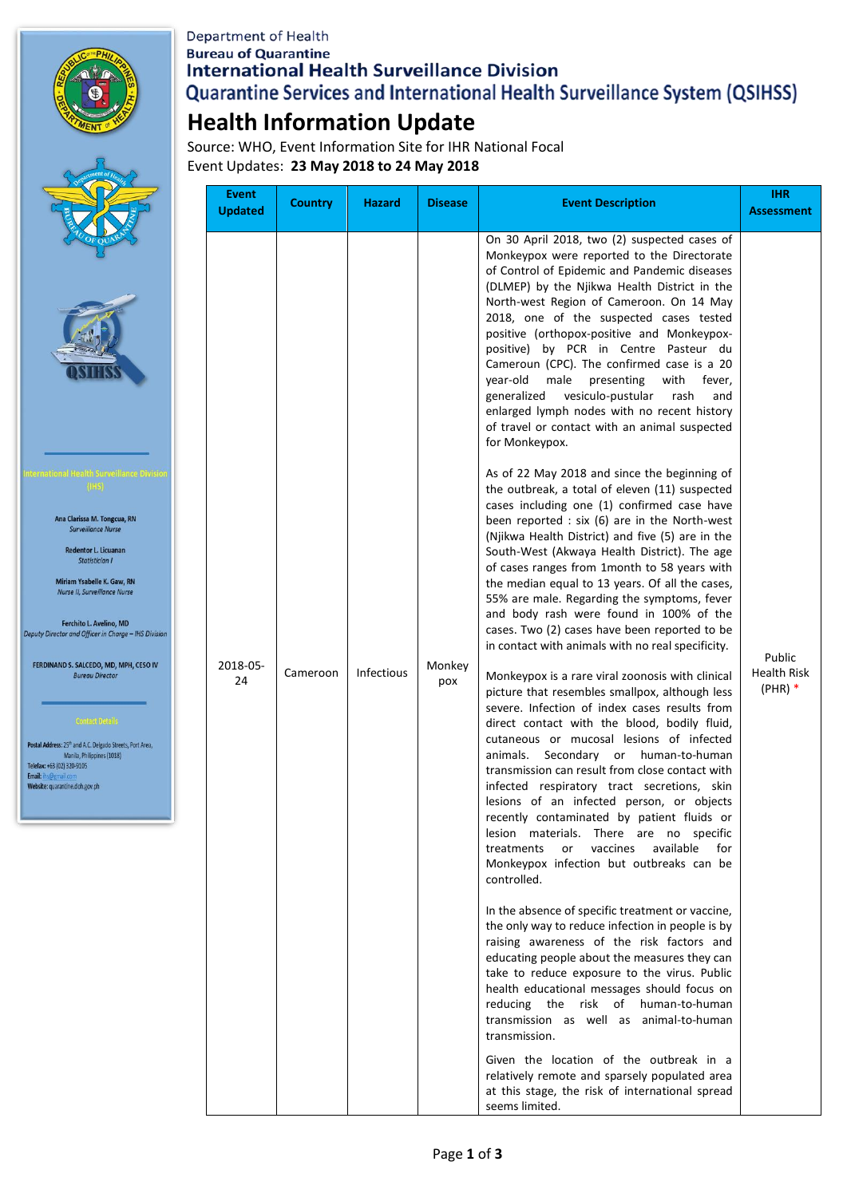

Ana Clarissa M. Tongcua, RN<br>Surveillance Nurse Redentor L. Licuanan Statistician I Miriam Ysabelle K. Gaw, RN Nurse II, Surveillance Nurse

Ferchito L. Avelino, MD<br>Deputy Director and Officer in Charge

FERDINAND S. SALCEDO, MD, MPH, **Bureau Director** 

Postal Address: 25<sup>th</sup> and A.C. Delgado Streets, Po Manila, Philippines (1018)<br>Telefax: +63 (02) 320-9105

Website: quarantine.doh.gov.ph

Email:

**Department of Health Bureau of Quarantine International Health Surveillance Division** Quarantine Services and International Health Surveillance System (QSIHSS)

## **Health Information Update**

Source: WHO, Event Information Site for IHR National Focal Event Updates: **23 May 2018 to 24 May 2018**

|                                                                   | <b>Event</b><br><b>Updated</b> | <b>Country</b> | <b>Hazard</b>     | <b>Disease</b> | <b>Event Description</b>                                                                                                                                                                                                                                                                                                                                                                                                                                                                                                                                                                                                                                                                                                                                                                                                                                                                                                                                                                                                                                                                                                                                                                                                                                                                                                                                                                                                                                                                                                                                                                                                                                                                                                                                                                                                                                                                                                                                                                                                                                                                                                                                                                                                                                                                                                                                                                                                                                                            | <b>IHR</b><br><b>Assessment</b>           |
|-------------------------------------------------------------------|--------------------------------|----------------|-------------------|----------------|-------------------------------------------------------------------------------------------------------------------------------------------------------------------------------------------------------------------------------------------------------------------------------------------------------------------------------------------------------------------------------------------------------------------------------------------------------------------------------------------------------------------------------------------------------------------------------------------------------------------------------------------------------------------------------------------------------------------------------------------------------------------------------------------------------------------------------------------------------------------------------------------------------------------------------------------------------------------------------------------------------------------------------------------------------------------------------------------------------------------------------------------------------------------------------------------------------------------------------------------------------------------------------------------------------------------------------------------------------------------------------------------------------------------------------------------------------------------------------------------------------------------------------------------------------------------------------------------------------------------------------------------------------------------------------------------------------------------------------------------------------------------------------------------------------------------------------------------------------------------------------------------------------------------------------------------------------------------------------------------------------------------------------------------------------------------------------------------------------------------------------------------------------------------------------------------------------------------------------------------------------------------------------------------------------------------------------------------------------------------------------------------------------------------------------------------------------------------------------------|-------------------------------------------|
| <b>Divisio</b><br><b>HS Division</b><br><b>CESO IV</b><br>t Area, | 2018-05-<br>24                 | Cameroon       | <b>Infectious</b> | Monkey<br>pox  | On 30 April 2018, two (2) suspected cases of<br>Monkeypox were reported to the Directorate<br>of Control of Epidemic and Pandemic diseases<br>(DLMEP) by the Njikwa Health District in the<br>North-west Region of Cameroon. On 14 May<br>2018, one of the suspected cases tested<br>positive (orthopox-positive and Monkeypox-<br>positive) by PCR in Centre Pasteur du<br>Cameroun (CPC). The confirmed case is a 20<br>year-old<br>male<br>presenting<br>with<br>fever,<br>vesiculo-pustular<br>generalized<br>rash<br>and<br>enlarged lymph nodes with no recent history<br>of travel or contact with an animal suspected<br>for Monkeypox.<br>As of 22 May 2018 and since the beginning of<br>the outbreak, a total of eleven (11) suspected<br>cases including one (1) confirmed case have<br>been reported : $six(6)$ are in the North-west<br>(Njikwa Health District) and five (5) are in the<br>South-West (Akwaya Health District). The age<br>of cases ranges from 1month to 58 years with<br>the median equal to 13 years. Of all the cases,<br>55% are male. Regarding the symptoms, fever<br>and body rash were found in 100% of the<br>cases. Two (2) cases have been reported to be<br>in contact with animals with no real specificity.<br>Monkeypox is a rare viral zoonosis with clinical<br>picture that resembles smallpox, although less<br>severe. Infection of index cases results from<br>direct contact with the blood, bodily fluid,<br>cutaneous or mucosal lesions of infected<br>animals. Secondary or human-to-human<br>transmission can result from close contact with<br>infected respiratory tract secretions, skin<br>lesions of an infected person, or objects<br>recently contaminated by patient fluids or<br>lesion materials. There are no specific<br>vaccines<br>available<br>for<br>treatments<br>or<br>Monkeypox infection but outbreaks can be<br>controlled.<br>In the absence of specific treatment or vaccine,<br>the only way to reduce infection in people is by<br>raising awareness of the risk factors and<br>educating people about the measures they can<br>take to reduce exposure to the virus. Public<br>health educational messages should focus on<br>reducing the risk of human-to-human<br>transmission as well as animal-to-human<br>transmission.<br>Given the location of the outbreak in a<br>relatively remote and sparsely populated area<br>at this stage, the risk of international spread<br>seems limited. | Public<br><b>Health Risk</b><br>$(PHR)$ * |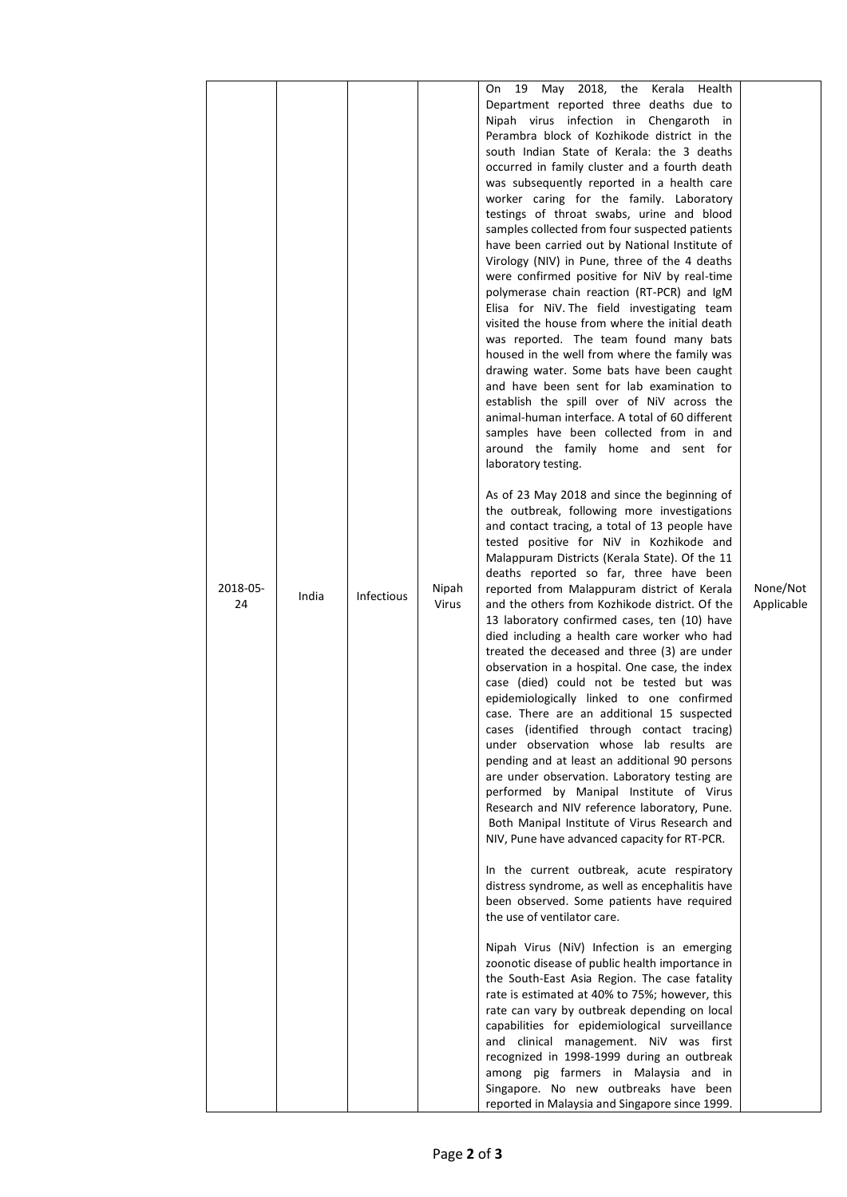|          |       |                   |       | 19 May 2018, the Kerala Health<br>On                                                           |            |
|----------|-------|-------------------|-------|------------------------------------------------------------------------------------------------|------------|
|          |       |                   |       | Department reported three deaths due to                                                        |            |
|          |       |                   |       | Nipah virus infection in Chengaroth in                                                         |            |
|          |       |                   |       | Perambra block of Kozhikode district in the                                                    |            |
|          |       |                   |       | south Indian State of Kerala: the 3 deaths                                                     |            |
|          |       |                   |       | occurred in family cluster and a fourth death<br>was subsequently reported in a health care    |            |
|          |       |                   |       | worker caring for the family. Laboratory                                                       |            |
|          |       |                   |       | testings of throat swabs, urine and blood                                                      |            |
|          |       |                   |       | samples collected from four suspected patients                                                 |            |
|          |       |                   |       | have been carried out by National Institute of                                                 |            |
|          |       |                   |       | Virology (NIV) in Pune, three of the 4 deaths                                                  |            |
|          |       |                   |       | were confirmed positive for NiV by real-time<br>polymerase chain reaction (RT-PCR) and IgM     |            |
|          |       |                   |       | Elisa for NiV. The field investigating team                                                    |            |
|          |       |                   |       | visited the house from where the initial death                                                 |            |
|          |       |                   |       | was reported. The team found many bats                                                         |            |
|          |       |                   |       | housed in the well from where the family was                                                   |            |
|          |       |                   |       | drawing water. Some bats have been caught<br>and have been sent for lab examination to         |            |
|          |       |                   |       | establish the spill over of NiV across the                                                     |            |
|          |       |                   |       | animal-human interface. A total of 60 different                                                |            |
|          |       |                   |       | samples have been collected from in and                                                        |            |
|          |       |                   |       | around the family home and sent for                                                            |            |
|          |       |                   |       | laboratory testing.                                                                            |            |
|          |       |                   |       | As of 23 May 2018 and since the beginning of                                                   |            |
|          |       |                   |       | the outbreak, following more investigations                                                    |            |
|          |       |                   |       | and contact tracing, a total of 13 people have                                                 |            |
|          |       |                   |       | tested positive for NiV in Kozhikode and                                                       |            |
|          |       |                   |       | Malappuram Districts (Kerala State). Of the 11                                                 |            |
| 2018-05- |       |                   | Nipah | deaths reported so far, three have been<br>reported from Malappuram district of Kerala         | None/Not   |
| 24       | India | <b>Infectious</b> | Virus | and the others from Kozhikode district. Of the                                                 | Applicable |
|          |       |                   |       | 13 laboratory confirmed cases, ten (10) have                                                   |            |
|          |       |                   |       | died including a health care worker who had                                                    |            |
|          |       |                   |       | treated the deceased and three (3) are under                                                   |            |
|          |       |                   |       | observation in a hospital. One case, the index<br>case (died) could not be tested but was      |            |
|          |       |                   |       | epidemiologically linked to one confirmed                                                      |            |
|          |       |                   |       | case. There are an additional 15 suspected                                                     |            |
|          |       |                   |       | cases (identified through contact tracing)                                                     |            |
|          |       |                   |       | under observation whose lab results are                                                        |            |
|          |       |                   |       | pending and at least an additional 90 persons<br>are under observation. Laboratory testing are |            |
|          |       |                   |       | performed by Manipal Institute of Virus                                                        |            |
|          |       |                   |       | Research and NIV reference laboratory, Pune.                                                   |            |
|          |       |                   |       | Both Manipal Institute of Virus Research and                                                   |            |
|          |       |                   |       | NIV, Pune have advanced capacity for RT-PCR.                                                   |            |
|          |       |                   |       | In the current outbreak, acute respiratory                                                     |            |
|          |       |                   |       | distress syndrome, as well as encephalitis have                                                |            |
|          |       |                   |       | been observed. Some patients have required                                                     |            |
|          |       |                   |       | the use of ventilator care.                                                                    |            |
|          |       |                   |       | Nipah Virus (NiV) Infection is an emerging                                                     |            |
|          |       |                   |       | zoonotic disease of public health importance in                                                |            |
|          |       |                   |       | the South-East Asia Region. The case fatality                                                  |            |
|          |       |                   |       | rate is estimated at 40% to 75%; however, this                                                 |            |
|          |       |                   |       | rate can vary by outbreak depending on local                                                   |            |
|          |       |                   |       | capabilities for epidemiological surveillance<br>and clinical management. NiV was first        |            |
|          |       |                   |       | recognized in 1998-1999 during an outbreak                                                     |            |
|          |       |                   |       | among pig farmers in Malaysia and in                                                           |            |
|          |       |                   |       | Singapore. No new outbreaks have been                                                          |            |
|          |       |                   |       | reported in Malaysia and Singapore since 1999.                                                 |            |